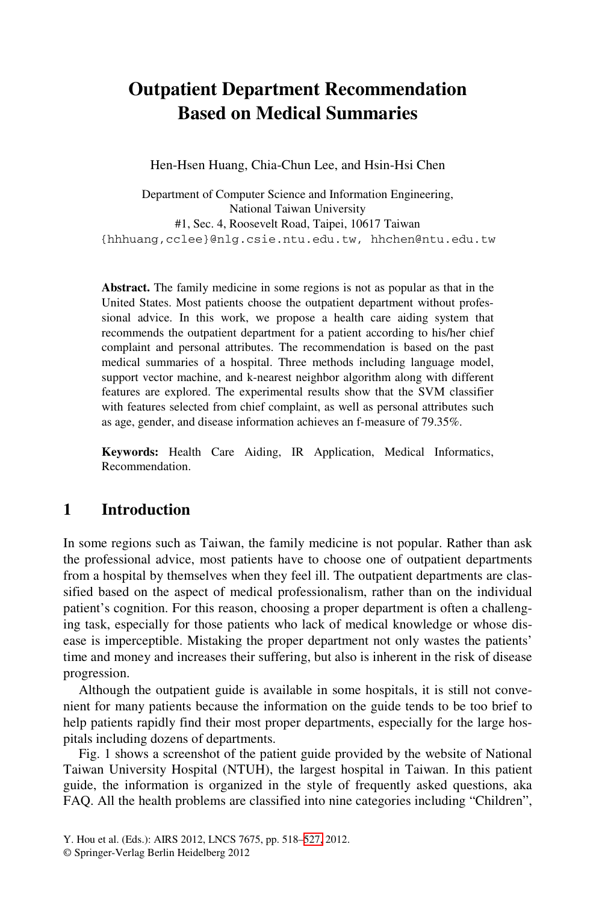# **Outpatient Department Recommendation Based on Medical Summaries**

Hen-Hsen Huang, Chia-Chun Lee, and Hsin-Hsi Chen

Department of Computer Science and Information Engineering, National Taiwan University #1, Sec. 4, Roosevelt Road, Taipei, 10617 Taiwan {hhhuang,cclee}@nlg.csie.ntu.edu.tw, hhchen@ntu.edu.tw

**Abstract.** The family medicine in some regions is not as popular as that in the United States. Most patients choose the outpatient department without professional advice. In this work, we propose a health care aiding system that recommends the outpatient department for a patient according to his/her chief complaint and personal attributes. The recommendation is based on the past medical summaries of a hospital. Three methods including language model, support vector machine, and k-nearest neighbor algorithm along with different features are explored. The experimental results show that the SVM classifier with features selected from chief complaint, as well as personal attributes such as age, gender, and disease information achieves an f-measure of 79.35%.

**Keywords:** Health Care Aiding, IR Application, Medical Informatics, Recommendation.

#### **1 Introduction**

In some regions such as Taiwan, the family medicine is not popular. Rather than ask the professional advice, most patients have to choose one of outpatient departments from a hospital by themselves when they feel ill. The outpatient departments are classified based on the aspect of medical professionalism, rather than on the individual patient's cognition. For this reason, choosing a proper department is often a challenging task, especially for those patients who lack of medical knowledge or whose disease is imperceptible. Mistaking the proper department not only wastes the patients' time and money and increases their suffering, but also is inherent in the risk of disease progression.

Although the outpatient guide is available in some hospitals, it is still not convenient for many patients [beca](#page-9-0)use the information on the guide tends to be too brief to help patients rapidly find their most proper departments, especially for the large hospitals including dozens of departments.

Fig. 1 shows a screenshot of the patient guide provided by the website of National Taiwan University Hospital (NTUH), the largest hospital in Taiwan. In this patient guide, the information is organized in the style of frequently asked questions, aka FAQ. All the health problems are classified into nine categories including "Children",

Y. Hou et al. (Eds.): AIRS 2012, LNCS 7675, pp. 518–527, 2012.

<sup>©</sup> Springer-Verlag Berlin Heidelberg 2012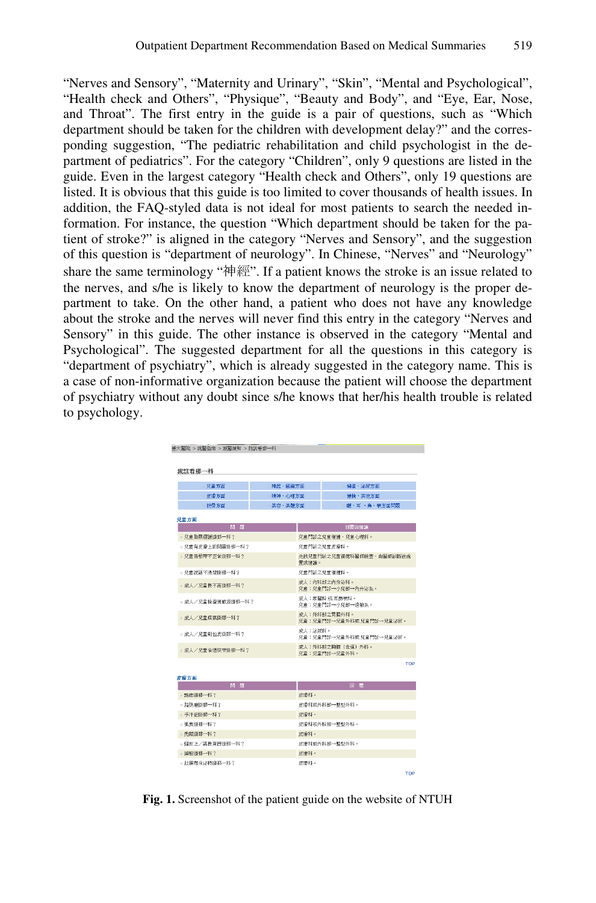"Nerves and Sensory", "Maternity and Urinary", "Skin", "Mental and Psychological", "Health check and Others", "Physique", "Beauty and Body", and "Eye, Ear, Nose, and Throat". The first entry in the guide is a pair of questions, such as "Which department should be taken for the children with development delay?" and the corresponding suggestion, "The pediatric rehabilitation and child psychologist in the department of pediatrics". For the category "Children", only 9 questions are listed in the guide. Even in the largest category "Health check and Others", only 19 questions are listed. It is obvious that this guide is too limited to cover thousands of health issues. In addition, the FAQ-styled data is not ideal for most patients to search the needed information. For instance, the question "Which department should be taken for the patient of stroke?" is aligned in the category "Nerves and Sensory", and the suggestion of this question is "department of neurology". In Chinese, "Nerves" and "Neurology" share the same terminology "神經". If a patient knows the stroke is an issue related to the nerves, and s/he is likely to know the department of neurology is the proper department to take. On the other hand, a patient who does not have any knowledge about the stroke and the nerves will never find this entry in the category "Nerves and Sensory" in this guide. The other instance is observed in the category "Mental and Psychological". The suggested department for all the questions in this category is "department of psychiatry", which is already suggested in the category name. This is a case of non-informative organization because the patient will choose the department of psychiatry without any doubt since s/he knows that her/his health trouble is related to psychology.

| 臺大醫院 > 就醫指南 > 就醫領知 > 我該看那一科 |           |                                          |                                   |  |  |  |  |
|-----------------------------|-----------|------------------------------------------|-----------------------------------|--|--|--|--|
|                             |           |                                          |                                   |  |  |  |  |
| 我該看那一科                      |           |                                          |                                   |  |  |  |  |
| □ 兒章方面                      | □神經、感覺方面  |                                          | □ 婦産、泌尿方面                         |  |  |  |  |
| □ 皮膚方面                      | □精神、心理方面  | □ 健檢、其他方面                                |                                   |  |  |  |  |
| 筋骨方面                        | □ 美容、美體方面 |                                          | □ 眼、耳 、鼻、喉方面問題                    |  |  |  |  |
|                             |           |                                          |                                   |  |  |  |  |
| 兒童方面<br>問題                  |           |                                          | 回源印建議                             |  |  |  |  |
| □ 兒童 弱尾 運 缓 排 那 一 科 ?       |           |                                          | 兒童門診之兒童復健、兒童心理科。                  |  |  |  |  |
| 。兒童有皮膚上的問題掛那一科?             |           |                                          | 兒童門診之兒童皮膚科。                       |  |  |  |  |
| 。兒童舌繫帶不正常提那一科?              |           | 置或種議。                                    | 先找兒童門診之兒童復健科醫師檢查,由醫師診斷後處          |  |  |  |  |
| 。兒童說話不清楚提載一科?               |           |                                          | 見童門診之見童復健科。                       |  |  |  |  |
| □成人/兒童長不高掛那一科?              |           | 成人:內科部之內分泌科。<br>兒童:兒童門診→小兒部→內分泌系。        |                                   |  |  |  |  |
| □成人/兒童檢查過敏源掛那一科?            |           | 成人:家醫科 或 耳鼻喉科。<br>兒童:兒童門診→小兒部→過敏系。       |                                   |  |  |  |  |
| □ 成人/兒童疝氣掛那一科?              |           | 成人:外科部之胃腸外科。<br>兒童:兒童門診→兒童外科或 兒童門診→兒童泌尿。 |                                   |  |  |  |  |
| □ 成人/兒童割包皮接那一科?             |           | 成人:泌尿科。<br>兒童:兒童門診→兒童外科或 兒童門診→兒童泌尿。      |                                   |  |  |  |  |
| □ 成人/兒童食道狭窄掛那一科?            |           |                                          | 成人;外科部之脑腔〔食道〕外科。<br>兒童:兒童門診→兒童外科。 |  |  |  |  |
|                             |           |                                          | TOP                               |  |  |  |  |
| 皮膚方面                        |           |                                          |                                   |  |  |  |  |
| 問 顕                         |           |                                          | 回恶                                |  |  |  |  |
| □ 點痣掛那一科?                   |           | 皮膚科。                                     |                                   |  |  |  |  |
| □脂肪瘤提那一科?                   |           |                                          | 皮膚科或外科部→整型外科。                     |  |  |  |  |
| □ 事汗症提那一科?                  |           | 皮膚科。                                     |                                   |  |  |  |  |
| □ 狐皇掛祁一科?                   |           |                                          | 皮膚科或外科部→鞍型外科。                     |  |  |  |  |
| □ 禿頭掛那一科?                   |           | 皮膚科。                                     |                                   |  |  |  |  |
| □頭皮上/裏長東西掛那一科?              |           |                                          | 皮膚科或外科部→整型外科。                     |  |  |  |  |
| □ 掉髮掛那一科 ?                  |           | 皮膚科。                                     |                                   |  |  |  |  |
| 。 計膳有分泌物掛郡一科?               |           | 皮膚科。                                     |                                   |  |  |  |  |
|                             |           |                                          | TOP                               |  |  |  |  |

**Fig. 1.** Screenshot of the patient guide on the website of NTUH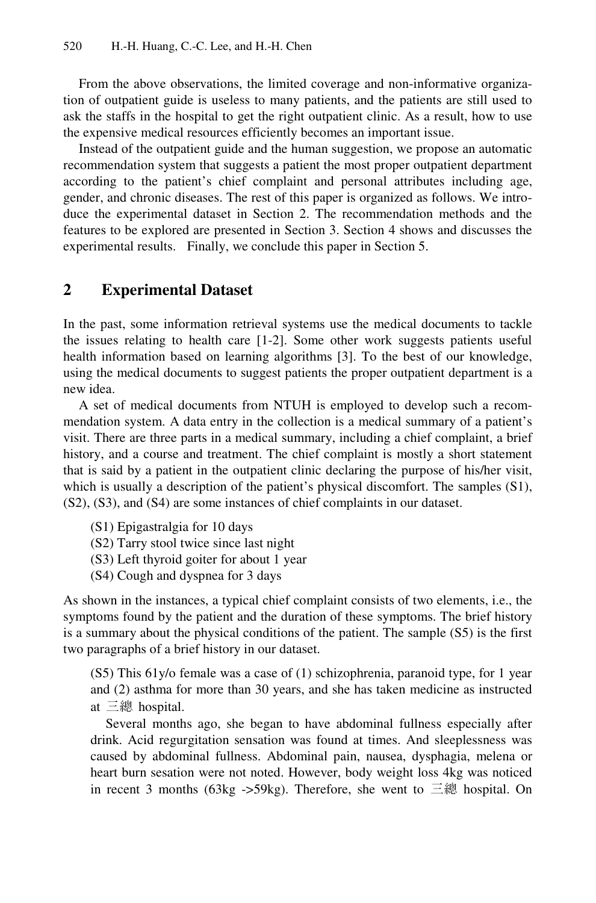From the above observations, the limited coverage and non-informative organization of outpatient guide is useless to many patients, and the patients are still used to ask the staffs in the hospital to get the right outpatient clinic. As a result, how to use the expensive medical resources efficiently becomes an important issue.

Instead of the outpatient guide and the human suggestion, we propose an automatic recommendation system that suggests a patient the most proper outpatient department according to the patient's chief complaint and personal attributes including age, gender, and chronic diseases. The rest of this paper is organized as follows. We introduce the experimental dataset in Section 2. The recommendation methods and the features to be explored are presented in Section 3. Section 4 shows and discusses the experimental results. Finally, we conclude this paper in Section 5.

#### **2 Experimental Dataset**

In the past, some information retrieval systems use the medical documents to tackle the issues relating to health care [1-2]. Some other work suggests patients useful health information based on learning algorithms [3]. To the best of our knowledge, using the medical documents to suggest patients the proper outpatient department is a new idea.

A set of medical documents from NTUH is employed to develop such a recommendation system. A data entry in the collection is a medical summary of a patient's visit. There are three parts in a medical summary, including a chief complaint, a brief history, and a course and treatment. The chief complaint is mostly a short statement that is said by a patient in the outpatient clinic declaring the purpose of his/her visit, which is usually a description of the patient's physical discomfort. The samples  $(S1)$ , (S2), (S3), and (S4) are some instances of chief complaints in our dataset.

- (S1) Epigastralgia for 10 days
- (S2) Tarry stool twice since last night
- (S3) Left thyroid goiter for about 1 year
- (S4) Cough and dyspnea for 3 days

As shown in the instances, a typical chief complaint consists of two elements, i.e., the symptoms found by the patient and the duration of these symptoms. The brief history is a summary about the physical conditions of the patient. The sample (S5) is the first two paragraphs of a brief history in our dataset.

(S5) This 61y/o female was a case of (1) schizophrenia, paranoid type, for 1 year and (2) asthma for more than 30 years, and she has taken medicine as instructed at 三總 hospital.

Several months ago, she began to have abdominal fullness especially after drink. Acid regurgitation sensation was found at times. And sleeplessness was caused by abdominal fullness. Abdominal pain, nausea, dysphagia, melena or heart burn sesation were not noted. However, body weight loss 4kg was noticed in recent 3 months (63kg ->59kg). Therefore, she went to 三總 hospital. On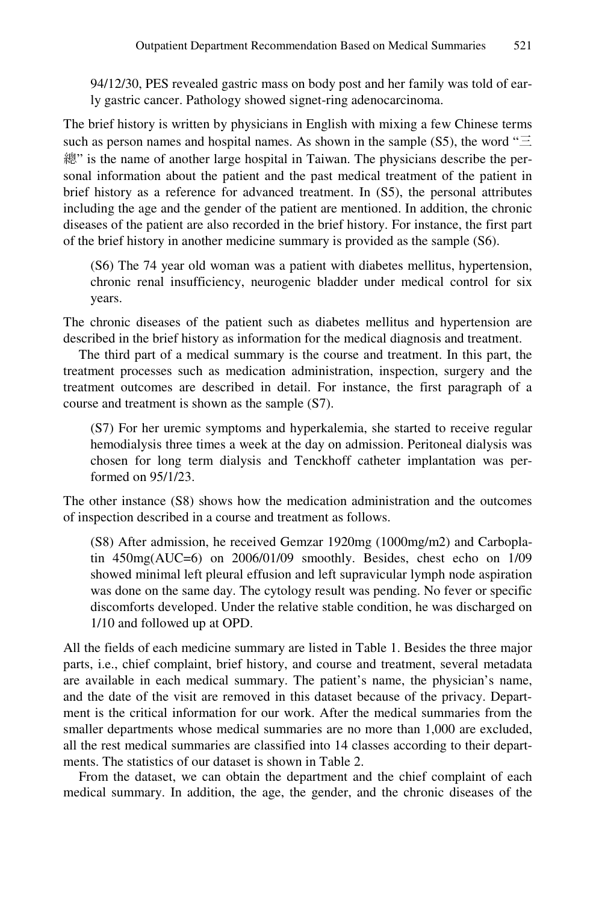94/12/30, PES revealed gastric mass on body post and her family was told of early gastric cancer. Pathology showed signet-ring adenocarcinoma.

The brief history is written by physicians in English with mixing a few Chinese terms such as person names and hospital names. As shown in the sample (S5), the word " $\equiv$ 總" is the name of another large hospital in Taiwan. The physicians describe the personal information about the patient and the past medical treatment of the patient in brief history as a reference for advanced treatment. In (S5), the personal attributes including the age and the gender of the patient are mentioned. In addition, the chronic diseases of the patient are also recorded in the brief history. For instance, the first part of the brief history in another medicine summary is provided as the sample (S6).

(S6) The 74 year old woman was a patient with diabetes mellitus, hypertension, chronic renal insufficiency, neurogenic bladder under medical control for six years.

The chronic diseases of the patient such as diabetes mellitus and hypertension are described in the brief history as information for the medical diagnosis and treatment.

The third part of a medical summary is the course and treatment. In this part, the treatment processes such as medication administration, inspection, surgery and the treatment outcomes are described in detail. For instance, the first paragraph of a course and treatment is shown as the sample (S7).

(S7) For her uremic symptoms and hyperkalemia, she started to receive regular hemodialysis three times a week at the day on admission. Peritoneal dialysis was chosen for long term dialysis and Tenckhoff catheter implantation was performed on 95/1/23.

The other instance (S8) shows how the medication administration and the outcomes of inspection described in a course and treatment as follows.

(S8) After admission, he received Gemzar 1920mg (1000mg/m2) and Carboplatin 450mg(AUC=6) on 2006/01/09 smoothly. Besides, chest echo on 1/09 showed minimal left pleural effusion and left supravicular lymph node aspiration was done on the same day. The cytology result was pending. No fever or specific discomforts developed. Under the relative stable condition, he was discharged on 1/10 and followed up at OPD.

All the fields of each medicine summary are listed in Table 1. Besides the three major parts, i.e., chief complaint, brief history, and course and treatment, several metadata are available in each medical summary. The patient's name, the physician's name, and the date of the visit are removed in this dataset because of the privacy. Department is the critical information for our work. After the medical summaries from the smaller departments whose medical summaries are no more than 1,000 are excluded, all the rest medical summaries are classified into 14 classes according to their departments. The statistics of our dataset is shown in Table 2.

From the dataset, we can obtain the department and the chief complaint of each medical summary. In addition, the age, the gender, and the chronic diseases of the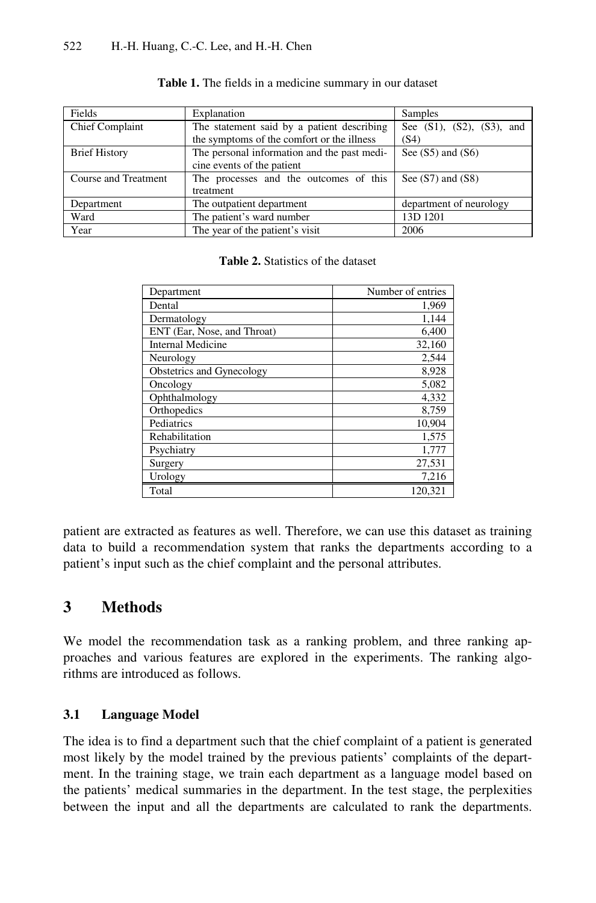| Fields                 | Explanation                                 | Samples                   |
|------------------------|---------------------------------------------|---------------------------|
| <b>Chief Complaint</b> | The statement said by a patient describing  | See (S1), (S2), (S3), and |
|                        | the symptoms of the comfort or the illness  | (S4)                      |
| <b>Brief History</b>   | The personal information and the past medi- | See $(S5)$ and $(S6)$     |
|                        | cine events of the patient                  |                           |
| Course and Treatment   | The processes and the outcomes of this      | See $(S7)$ and $(S8)$     |
|                        | treatment                                   |                           |
| Department             | The outpatient department                   | department of neurology   |
| Ward                   | The patient's ward number                   | 13D 1201                  |
| Year                   | The year of the patient's visit             | 2006                      |

|  | Table 1. The fields in a medicine summary in our dataset |  |
|--|----------------------------------------------------------|--|
|--|----------------------------------------------------------|--|

**Table 2.** Statistics of the dataset

| Department                       | Number of entries |
|----------------------------------|-------------------|
| Dental                           | 1,969             |
| Dermatology                      | 1,144             |
| ENT (Ear, Nose, and Throat)      | 6,400             |
| <b>Internal Medicine</b>         | 32,160            |
| Neurology                        | 2,544             |
| <b>Obstetrics and Gynecology</b> | 8,928             |
| Oncology                         | 5,082             |
| Ophthalmology                    | 4,332             |
| Orthopedics                      | 8.759             |
| Pediatrics                       | 10.904            |
| Rehabilitation                   | 1,575             |
| Psychiatry                       | 1,777             |
| Surgery                          | 27,531            |
| Urology                          | 7,216             |
| Total                            | 120.321           |

patient are extracted as features as well. Therefore, we can use this dataset as training data to build a recommendation system that ranks the departments according to a patient's input such as the chief complaint and the personal attributes.

# **3 Methods**

We model the recommendation task as a ranking problem, and three ranking approaches and various features are explored in the experiments. The ranking algorithms are introduced as follows.

#### **3.1 Language Model**

The idea is to find a department such that the chief complaint of a patient is generated most likely by the model trained by the previous patients' complaints of the department. In the training stage, we train each department as a language model based on the patients' medical summaries in the department. In the test stage, the perplexities between the input and all the departments are calculated to rank the departments.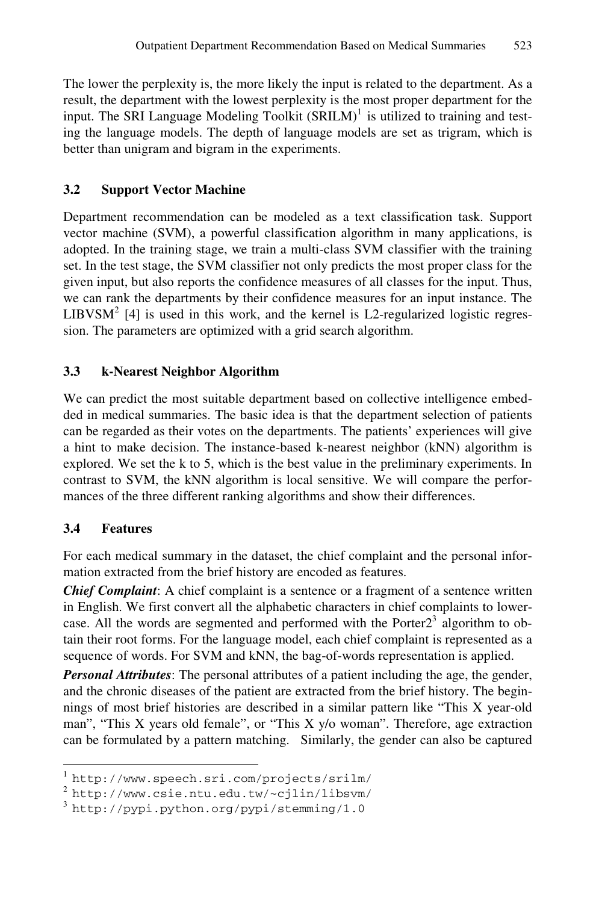The lower the perplexity is, the more likely the input is related to the department. As a result, the department with the lowest perplexity is the most proper department for the input. The SRI Language Modeling Toolkit  $(SRILM)^{1}$  is utilized to training and testing the language models. The depth of language models are set as trigram, which is better than unigram and bigram in the experiments.

### **3.2 Support Vector Machine**

Department recommendation can be modeled as a text classification task. Support vector machine (SVM), a powerful classification algorithm in many applications, is adopted. In the training stage, we train a multi-class SVM classifier with the training set. In the test stage, the SVM classifier not only predicts the most proper class for the given input, but also reports the confidence measures of all classes for the input. Thus, we can rank the departments by their confidence measures for an input instance. The  $LIBVSM<sup>2</sup>$  [4] is used in this work, and the kernel is L2-regularized logistic regression. The parameters are optimized with a grid search algorithm.

## **3.3 k-Nearest Neighbor Algorithm**

We can predict the most suitable department based on collective intelligence embedded in medical summaries. The basic idea is that the department selection of patients can be regarded as their votes on the departments. The patients' experiences will give a hint to make decision. The instance-based k-nearest neighbor (kNN) algorithm is explored. We set the k to 5, which is the best value in the preliminary experiments. In contrast to SVM, the kNN algorithm is local sensitive. We will compare the performances of the three different ranking algorithms and show their differences.

#### **3.4 Features**

j

For each medical summary in the dataset, the chief complaint and the personal information extracted from the brief history are encoded as features.

*Chief Complaint*: A chief complaint is a sentence or a fragment of a sentence written in English. We first convert all the alphabetic characters in chief complaints to lowercase. All the words are segmented and performed with the Porter $2<sup>3</sup>$  algorithm to obtain their root forms. For the language model, each chief complaint is represented as a sequence of words. For SVM and kNN, the bag-of-words representation is applied.

*Personal Attributes*: The personal attributes of a patient including the age, the gender, and the chronic diseases of the patient are extracted from the brief history. The beginnings of most brief histories are described in a similar pattern like "This X year-old man", "This X years old female", or "This X y/o woman". Therefore, age extraction can be formulated by a pattern matching. Similarly, the gender can also be captured

<sup>1</sup> http://www.speech.sri.com/projects/srilm/

<sup>2</sup> http://www.csie.ntu.edu.tw/~cjlin/libsvm/

<sup>3</sup> http://pypi.python.org/pypi/stemming/1.0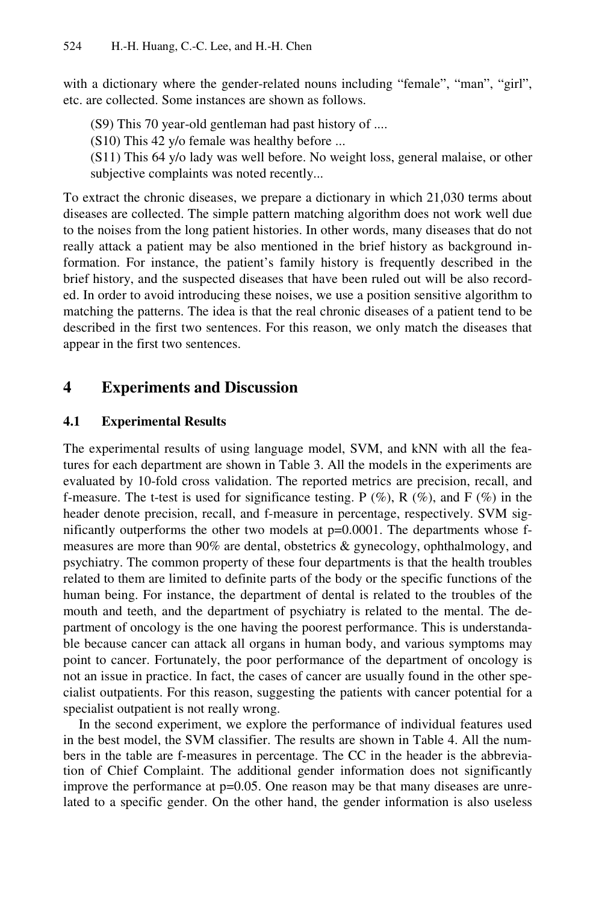with a dictionary where the gender-related nouns including "female", "man", "girl", etc. are collected. Some instances are shown as follows.

(S9) This 70 year-old gentleman had past history of .... (S10) This 42 y/o female was healthy before ... (S11) This 64 y/o lady was well before. No weight loss, general malaise, or other subjective complaints was noted recently...

To extract the chronic diseases, we prepare a dictionary in which 21,030 terms about diseases are collected. The simple pattern matching algorithm does not work well due to the noises from the long patient histories. In other words, many diseases that do not really attack a patient may be also mentioned in the brief history as background information. For instance, the patient's family history is frequently described in the brief history, and the suspected diseases that have been ruled out will be also recorded. In order to avoid introducing these noises, we use a position sensitive algorithm to matching the patterns. The idea is that the real chronic diseases of a patient tend to be described in the first two sentences. For this reason, we only match the diseases that appear in the first two sentences.

## **4 Experiments and Discussion**

#### **4.1 Experimental Results**

The experimental results of using language model, SVM, and kNN with all the features for each department are shown in Table 3. All the models in the experiments are evaluated by 10-fold cross validation. The reported metrics are precision, recall, and f-measure. The t-test is used for significance testing. P  $(\%)$ , R  $(\%)$ , and F  $(\%)$  in the header denote precision, recall, and f-measure in percentage, respectively. SVM significantly outperforms the other two models at p=0.0001. The departments whose fmeasures are more than 90% are dental, obstetrics & gynecology, ophthalmology, and psychiatry. The common property of these four departments is that the health troubles related to them are limited to definite parts of the body or the specific functions of the human being. For instance, the department of dental is related to the troubles of the mouth and teeth, and the department of psychiatry is related to the mental. The department of oncology is the one having the poorest performance. This is understandable because cancer can attack all organs in human body, and various symptoms may point to cancer. Fortunately, the poor performance of the department of oncology is not an issue in practice. In fact, the cases of cancer are usually found in the other specialist outpatients. For this reason, suggesting the patients with cancer potential for a specialist outpatient is not really wrong.

In the second experiment, we explore the performance of individual features used in the best model, the SVM classifier. The results are shown in Table 4. All the numbers in the table are f-measures in percentage. The CC in the header is the abbreviation of Chief Complaint. The additional gender information does not significantly improve the performance at p=0.05. One reason may be that many diseases are unrelated to a specific gender. On the other hand, the gender information is also useless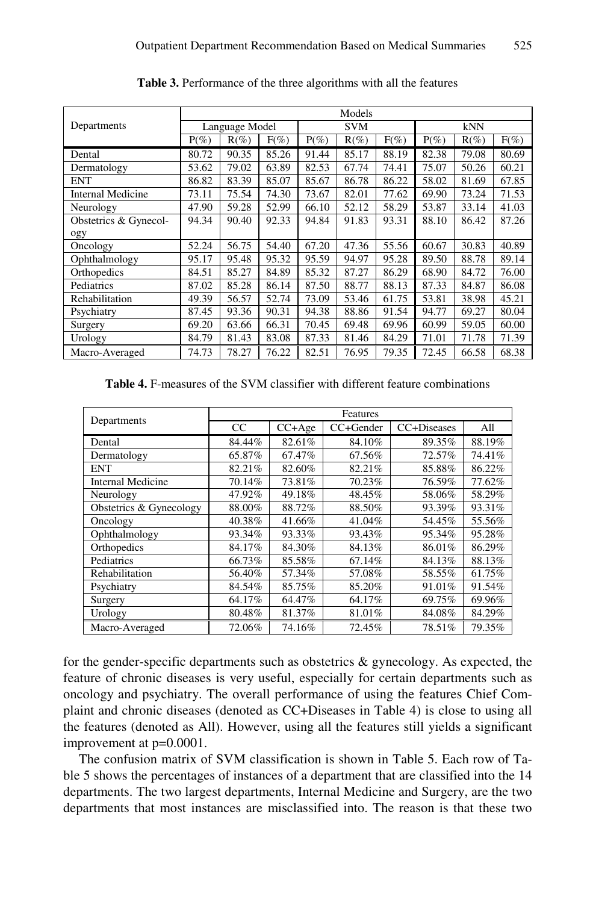|                          | Models         |         |         |         |         |         |         |         |         |  |
|--------------------------|----------------|---------|---------|---------|---------|---------|---------|---------|---------|--|
| Departments              | Language Model |         |         | SVM     |         |         | kNN     |         |         |  |
|                          | $P(\%)$        | $R(\%)$ | $F(\%)$ | $P(\%)$ | $R(\%)$ | $F(\%)$ | $P(\%)$ | $R(\%)$ | $F(\%)$ |  |
| Dental                   | 80.72          | 90.35   | 85.26   | 91.44   | 85.17   | 88.19   | 82.38   | 79.08   | 80.69   |  |
| Dermatology              | 53.62          | 79.02   | 63.89   | 82.53   | 67.74   | 74.41   | 75.07   | 50.26   | 60.21   |  |
| <b>ENT</b>               | 86.82          | 83.39   | 85.07   | 85.67   | 86.78   | 86.22   | 58.02   | 81.69   | 67.85   |  |
| <b>Internal Medicine</b> | 73.11          | 75.54   | 74.30   | 73.67   | 82.01   | 77.62   | 69.90   | 73.24   | 71.53   |  |
| Neurology                | 47.90          | 59.28   | 52.99   | 66.10   | 52.12   | 58.29   | 53.87   | 33.14   | 41.03   |  |
| Obstetrics & Gynecol-    | 94.34          | 90.40   | 92.33   | 94.84   | 91.83   | 93.31   | 88.10   | 86.42   | 87.26   |  |
| ogy                      |                |         |         |         |         |         |         |         |         |  |
| Oncology                 | 52.24          | 56.75   | 54.40   | 67.20   | 47.36   | 55.56   | 60.67   | 30.83   | 40.89   |  |
| Ophthalmology            | 95.17          | 95.48   | 95.32   | 95.59   | 94.97   | 95.28   | 89.50   | 88.78   | 89.14   |  |
| Orthopedics              | 84.51          | 85.27   | 84.89   | 85.32   | 87.27   | 86.29   | 68.90   | 84.72   | 76.00   |  |
| Pediatrics               | 87.02          | 85.28   | 86.14   | 87.50   | 88.77   | 88.13   | 87.33   | 84.87   | 86.08   |  |
| Rehabilitation           | 49.39          | 56.57   | 52.74   | 73.09   | 53.46   | 61.75   | 53.81   | 38.98   | 45.21   |  |
| Psychiatry               | 87.45          | 93.36   | 90.31   | 94.38   | 88.86   | 91.54   | 94.77   | 69.27   | 80.04   |  |
| Surgery                  | 69.20          | 63.66   | 66.31   | 70.45   | 69.48   | 69.96   | 60.99   | 59.05   | 60.00   |  |
| Urology                  | 84.79          | 81.43   | 83.08   | 87.33   | 81.46   | 84.29   | 71.01   | 71.78   | 71.39   |  |
| Macro-Averaged           | 74.73          | 78.27   | 76.22   | 82.51   | 76.95   | 79.35   | 72.45   | 66.58   | 68.38   |  |

**Table 3.** Performance of the three algorithms with all the features

**Table 4.** F-measures of the SVM classifier with different feature combinations

| Departments             | Features |          |           |             |        |  |  |  |  |
|-------------------------|----------|----------|-----------|-------------|--------|--|--|--|--|
|                         | CC       | $CC+Age$ | CC+Gender | CC+Diseases | All    |  |  |  |  |
| Dental                  | 84.44%   | 82.61%   | 84.10%    | 89.35%      | 88.19% |  |  |  |  |
| Dermatology             | 65.87%   | 67.47%   | 67.56%    | 72.57%      | 74.41% |  |  |  |  |
| <b>ENT</b>              | 82.21%   | 82.60%   | 82.21%    | 85.88%      | 86.22% |  |  |  |  |
| Internal Medicine       | 70.14%   | 73.81%   | 70.23%    | 76.59%      | 77.62% |  |  |  |  |
| Neurology               | 47.92%   | 49.18%   | 48.45%    | 58.06%      | 58.29% |  |  |  |  |
| Obstetrics & Gynecology | 88.00%   | 88.72%   | 88.50%    | 93.39%      | 93.31% |  |  |  |  |
| Oncology                | 40.38%   | 41.66%   | 41.04%    | 54.45%      | 55.56% |  |  |  |  |
| Ophthalmology           | 93.34%   | 93.33%   | 93.43%    | 95.34%      | 95.28% |  |  |  |  |
| Orthopedics             | 84.17%   | 84.30%   | 84.13%    | 86.01%      | 86.29% |  |  |  |  |
| Pediatrics              | 66.73%   | 85.58%   | 67.14%    | 84.13%      | 88.13% |  |  |  |  |
| Rehabilitation          | 56.40%   | 57.34%   | 57.08%    | 58.55%      | 61.75% |  |  |  |  |
| Psychiatry              | 84.54%   | 85.75%   | 85.20%    | 91.01%      | 91.54% |  |  |  |  |
| Surgery                 | 64.17%   | 64.47%   | 64.17%    | 69.75%      | 69.96% |  |  |  |  |
| Urology                 | 80.48%   | 81.37%   | 81.01%    | 84.08%      | 84.29% |  |  |  |  |
| Macro-Averaged          | 72.06%   | 74.16%   | 72.45%    | 78.51%      | 79.35% |  |  |  |  |

for the gender-specific departments such as obstetrics  $\&$  gynecology. As expected, the feature of chronic diseases is very useful, especially for certain departments such as oncology and psychiatry. The overall performance of using the features Chief Complaint and chronic diseases (denoted as CC+Diseases in Table 4) is close to using all the features (denoted as All). However, using all the features still yields a significant improvement at p=0.0001.

The confusion matrix of SVM classification is shown in Table 5. Each row of Table 5 shows the percentages of instances of a department that are classified into the 14 departments. The two largest departments, Internal Medicine and Surgery, are the two departments that most instances are misclassified into. The reason is that these two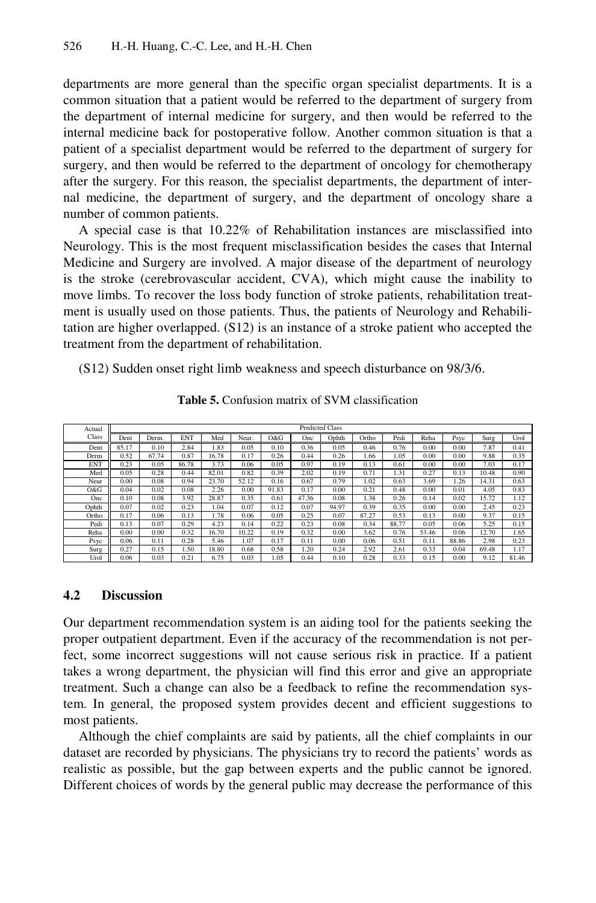departments are more general than the specific organ specialist departments. It is a common situation that a patient would be referred to the department of surgery from the department of internal medicine for surgery, and then would be referred to the internal medicine back for postoperative follow. Another common situation is that a patient of a specialist department would be referred to the department of surgery for surgery, and then would be referred to the department of oncology for chemotherapy after the surgery. For this reason, the specialist departments, the department of internal medicine, the department of surgery, and the department of oncology share a number of common patients.

A special case is that 10.22% of Rehabilitation instances are misclassified into Neurology. This is the most frequent misclassification besides the cases that Internal Medicine and Surgery are involved. A major disease of the department of neurology is the stroke (cerebrovascular accident, CVA), which might cause the inability to move limbs. To recover the loss body function of stroke patients, rehabilitation treatment is usually used on those patients. Thus, the patients of Neurology and Rehabilitation are higher overlapped. (S12) is an instance of a stroke patient who accepted the treatment from the department of rehabilitation.

(S12) Sudden onset right limb weakness and speech disturbance on 98/3/6.

| Actual     | <b>Predicted Class</b> |       |            |       |       |       |       |       |       |       |       |       |       |       |
|------------|------------------------|-------|------------|-------|-------|-------|-------|-------|-------|-------|-------|-------|-------|-------|
| Class      | Dent                   | Derm. | <b>ENT</b> | Med   | Neur. | O&G   | Onc   | Ophth | Ortho | Pedi  | Reha  | Psvc  | Surg  | Urol  |
| Dent       | 85.17                  | 0.10  | 2.84       | 1.83  | 0.05  | 0.10  | 0.36  | 0.05  | 0.46  | 0.76  | 0.00  | 0.00  | 7.87  | 0.41  |
| Derm       | 0.52                   | 67.74 | 0.87       | 16.78 | 0.17  | 0.26  | 0.44  | 0.26  | 1.66  | 1.05  | 0.00  | 0.00  | 9.88  | 0.35  |
| <b>ENT</b> | 0.23                   | 0.05  | 86.78      | 3.73  | 0.06  | 0.05  | 0.97  | 0.19  | 0.13  | 0.61  | 0.00  | 0.00  | 7.03  | 0.17  |
| Med        | 0.05                   | 0.28  | 0.44       | 82.01 | 0.82  | 0.39  | 2.02  | 0.19  | 0.71  | 1.31  | 0.27  | 0.13  | 10.48 | 0.90  |
| Neur       | 0.00                   | 0.08  | 0.94       | 23.70 | 52.12 | 0.16  | 0.67  | 0.79  | 1.02  | 0.63  | 3.69  | 1.26  | 14.31 | 0.63  |
| O&G        | 0.04                   | 0.02  | 0.08       | 2.26  | 0.00  | 91.83 | 0.17  | 0.00  | 0.21  | 0.48  | 0.00  | 0.01  | 4.05  | 0.83  |
| Onc        | 0.10                   | 0.08  | 3.92       | 28.87 | 0.35  | 0.61  | 47.36 | 0.08  | 1.38  | 0.26  | 0.14  | 0.02  | 15.72 | 1.12  |
| Ophth      | 0.07                   | 0.02  | 0.23       | 1.04  | 0.07  | 0.12  | 0.07  | 94.97 | 0.39  | 0.35  | 0.00  | 0.00  | 2.45  | 0.23  |
| Ortho      | 0.17                   | 0.06  | 0.13       | 1.78  | 0.06  | 0.05  | 0.25  | 0.07  | 87.27 | 0.53  | 0.13  | 0.00  | 9.37  | 0.15  |
| Pedi       | 0.13                   | 0.07  | 0.29       | 4.23  | 0.14  | 0.22  | 0.23  | 0.08  | 0.34  | 88.77 | 0.05  | 0.06  | 5.25  | 0.15  |
| Reha       | 0.00                   | 0.00  | 0.32       | 16.70 | 10.22 | 0.19  | 0.32  | 0.00  | 3.62  | 0.76  | 53.46 | 0.06  | 12.70 | 1.65  |
| Psyc       | 0.06                   | 0.11  | 0.28       | 5.46  | 1.07  | 0.17  | 0.11  | 0.00  | 0.06  | 0.51  | 0.11  | 88.86 | 2.98  | 0.23  |
| Surg       | 0.27                   | 0.15  | 1.50       | 18.80 | 0.68  | 0.58  | 1.20  | 0.24  | 2.92  | 2.61  | 0.33  | 0.04  | 69.48 | 1.17  |
| Urol       | 0.06                   | 0.03  | 0.21       | 6.75  | 0.03  | 1.05  | 0.44  | 0.10  | 0.28  | 0.33  | 0.15  | 0.00  | 9.12  | 81.46 |

**Table 5.** Confusion matrix of SVM classification

#### **4.2 Discussion**

Our department recommendation system is an aiding tool for the patients seeking the proper outpatient department. Even if the accuracy of the recommendation is not perfect, some incorrect suggestions will not cause serious risk in practice. If a patient takes a wrong department, the physician will find this error and give an appropriate treatment. Such a change can also be a feedback to refine the recommendation system. In general, the proposed system provides decent and efficient suggestions to most patients.

Although the chief complaints are said by patients, all the chief complaints in our dataset are recorded by physicians. The physicians try to record the patients' words as realistic as possible, but the gap between experts and the public cannot be ignored. Different choices of words by the general public may decrease the performance of this